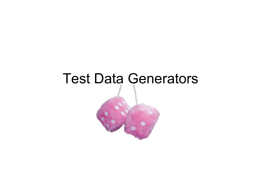#### Test Data Generators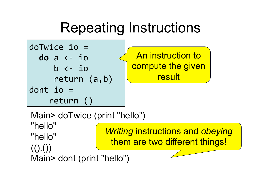### Repeating Instructions



Main> doTwice (print "hello") "hello" "hello"  $((),())$ Main> dont (print "hello") *Writing* instructions and *obeying* them are two different things!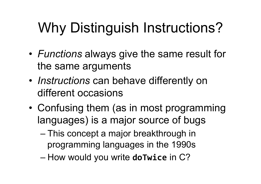## Why Distinguish Instructions?

- *Functions* always give the same result for the same arguments
- *Instructions* can behave differently on different occasions
- Confusing them (as in most programming languages) is a major source of bugs
	- This concept a major breakthrough in programming languages in the 1990s
	- $-$  How would you write **do Twice** in C?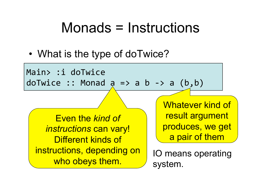#### Monads = Instructions

• What is the type of doTwice?

Main> :i doTwice  $dofwice :: Monad a => a b -gt; a (b,b)$ 

Even the *kind of instructions* can vary! Different kinds of instructions, depending on uctions, depertuing on  $\bigcup_{n=0}^{\infty}$  IO means operating

Whatever kind of result argument produces, we get a pair of them

system.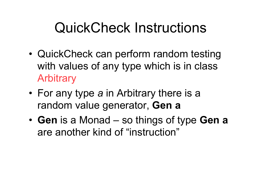### QuickCheck Instructions

- QuickCheck can perform random testing with values of any type which is in class **Arbitrary**
- For any type *a* in Arbitrary there is a random value generator, **Gen a**
- **Gen** is a Monad so things of type **Gen a** are another kind of "instruction"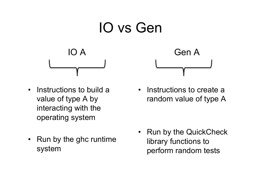

- Instructions to build a value of type A by interacting with the operating system
- Run by the ghc runtime system

• Instructions to create a random value of type A

• Run by the QuickCheck library functions to perform random tests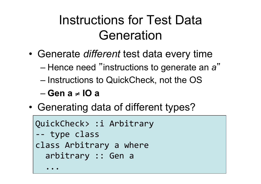#### Instructions for Test Data Generation

- Generate *different* test data every time
	- Hence need "instructions to generate an *a* "
	- Instructions to QuickCheck, not the OS
	- **Gen a** ! **IO a**
- Generating data of different types?

```
QuickCheck> :i Arbitrary
-- type class
class Arbitrary a where
  arbitrary :: Gen a
\overline{\phantom{a}}
```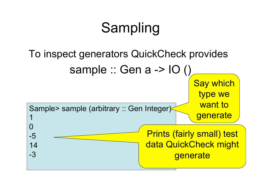## Sampling

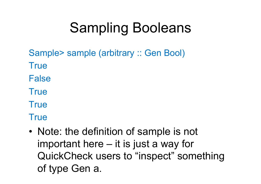## Sampling Booleans

Sample> sample (arbitrary :: Gen Bool)

- **True**
- False
- **True**
- **True**

**True** 

• Note: the definition of sample is not important here – it is just a way for QuickCheck users to "inspect" something of type Gen a.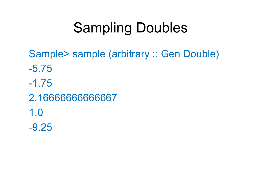### Sampling Doubles

Sample> sample (arbitrary :: Gen Double) -5.75 -1.75 2.16666666666667 1.0 -9.25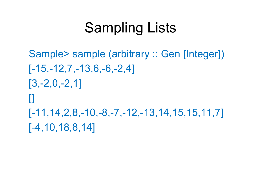### Sampling Lists

Sample> sample (arbitrary :: Gen [Integer]) [-15,-12,7,-13,6,-6,-2,4] [3,-2,0,-2,1] [] [-11,14,2,8,-10,-8,-7,-12,-13,14,15,15,11,7] [-4,10,18,8,14]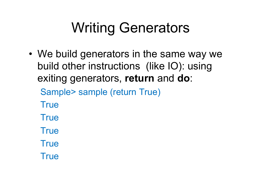## Writing Generators

• We build generators in the same way we build other instructions (like IO): using exiting generators, **return** and **do**:

Sample> sample (return True)

**True** 

**True** 

**True** 

**True** 

**True**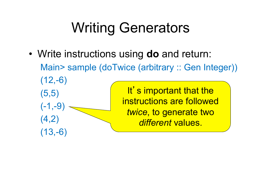## Writing Generators

• Write instructions using **do** and return: Main> sample (doTwice (arbitrary :: Gen Integer))  $(12,-6)$ (5,5)  $(-1,-9)$  $(4,2)$  $(13,-6)$ It's important that the instructions are followed *twice*, to generate two *different* values.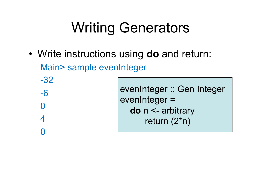## Writing Generators

• Write instructions using **do** and return: Main> sample evenInteger

-32 -6  $\left( \ \right)$ 4  $\bigcap$ 

evenInteger :: Gen Integer evenInteger = **do** n <- arbitrary return (2\*n)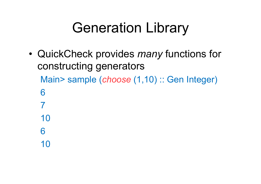### Generation Library

• QuickCheck provides *many* functions for constructing generators Main> sample (*choose* (1,10) :: Gen Integer) 6 7 10 6 10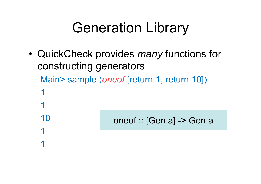### Generation Library

• QuickCheck provides *many* functions for constructing generators Main> sample (*oneof* [return 1, return 10]) 1 1

10

1

1

oneof :: [Gen a] -> Gen a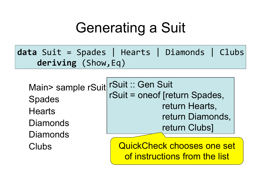### Generating a Suit

**data** Suit = Spades | Hearts | Diamonds | Clubs deriving (Show, Eq)

Main> sample rSuit Spades **Hearts Diamonds Diamonds** Clubs rSuit :: Gen Suit rSuit = oneof [return Spades, return Hearts, return Diamonds, return Clubs]

QuickCheck chooses one set of instructions from the list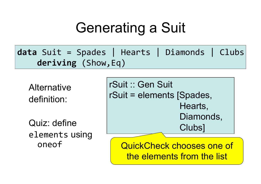### Generating a Suit

**data** Suit = Spades | Hearts | Diamonds | Clubs deriving (Show, Eq)

**Alternative** definition:

Quiz: define elements using oneof

rSuit :: Gen Suit rSuit = elements [Spades, Hearts, Diamonds, Clubs]

QuickCheck chooses one of the elements from the list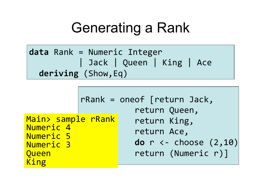#### Generating a Rank



|                                                                            | $rRank = oneof [return Jack,$<br>return Queen,                                   |
|----------------------------------------------------------------------------|----------------------------------------------------------------------------------|
| Main> sample rRank<br>Numeric 4<br>Numeric 5<br>Numeric 3<br>Queen<br>King | return King,<br>return Ace,<br>do $r$ <- choose $(2, 10)$<br>return (Numeric r)] |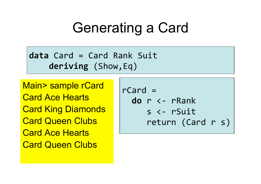#### Generating a Card

**data** Card = Card Rank Suit deriving (Show, Eq)

Main> sample rCard Card Ace Hearts Card King Diamonds **Card Queen Clubs** Card Ace Hearts Card Queen Clubs

 $rcard =$ **do**  $r \leftarrow r$ Rank  $s$  <-  $r$ Suit  $return (Card r s)$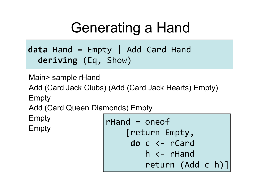### Generating a Hand

 $data$  Hand = Empty | Add Card Hand deriving (Eq, Show)

Main> sample rHand

Add (Card Jack Clubs) (Add (Card Jack Hearts) Empty) Empty

Add (Card Queen Diamonds) Empty

Empty

Empty

```
rHand = oneof
    [return Empty,
     do c <- rCard
         h \leftarrow rHand
         return (Add c h)]
```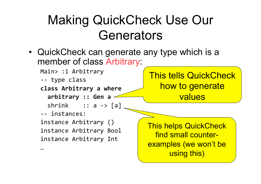#### Making QuickCheck Use Our **Generators**

- QuickCheck can generate any type which is a member of class Arbitrary:
	- Main> :i Arbitrary -- type class **class Arbitrary a where** arbitrary :: Gen a  $shrink$  :: a -> [a] -- instances: instance Arbitrary () instance Arbitrary Bool instance Arbitrary Int  $...$ This tells QuickCheck how to generate values This helps QuickCheck find small counterexamples (we won't be

using this)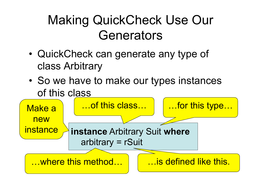#### Making QuickCheck Use Our **Generators**

- QuickCheck can generate any type of class Arbitrary
- So we have to make our types instances of this class

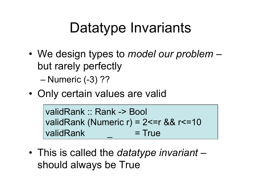### Datatype Invariants

- We design types to *model our problem* but rarely perfectly – Numeric (-3) ??
- Only certain values are valid

validRank :: Rank -> Bool validRank (Numeric r) =  $2 \le r \& 8 \le r \le 10$  $value$  validRank  $= True$ 

• This is called the *datatype invariant* – should always be True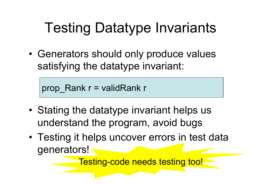## Testing Datatype Invariants

• Generators should only produce values satisfying the datatype invariant:

prop  $Rank r = validRank r$ 

- Stating the datatype invariant helps us understand the program, avoid bugs
- Testing it helps uncover errors in test data generators!

Testing-code needs testing too!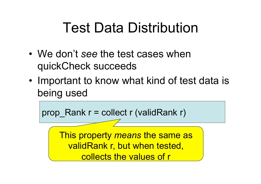### Test Data Distribution

- We don't *see* the test cases when quickCheck succeeds
- Important to know what kind of test data is being used

prop Rank  $r$  = collect r (validRank r)

This property *means* the same as validRank r, but when tested, collects the values of r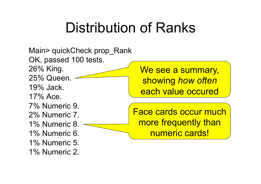#### Distribution of Ranks

Main> quickCheck prop\_Rank OK, passed 100 tests. 26% King. 25% Queen. 19% Jack. 17% Ace. 7% Numeric 9. 2% Numeric 7. 1% Numeric 8. 1% Numeric 6. 1% Numeric 5. 1% Numeric 2. We see a summary, showing *how often* each value occured Face cards occur much more frequently than numeric cards!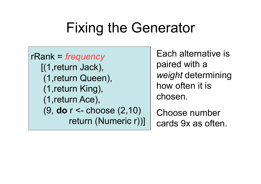### Fixing the Generator

rRank = *frequency*  [(1,return Jack), (1,return Queen), (1,return King), (1,return Ace), (9, **do** r <- choose (2,10) return (Numeric r))]

Each alternative is paired with a *weight* determining how often it is chosen.

Choose number cards 9x as often.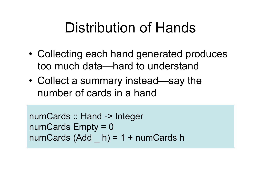#### Distribution of Hands

- Collecting each hand generated produces too much data—hard to understand
- Collect a summary instead—say the number of cards in a hand

numCards :: Hand -> Integer numCards Empty = 0 numCards  $(Add \ h) = 1 + numCards$  h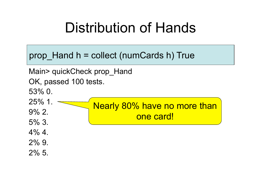#### Distribution of Hands

prop Hand  $h =$  collect (numCards h) True

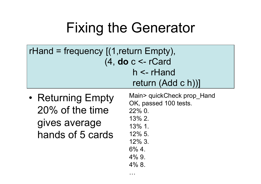### Fixing the Generator

| rHand = frequency $(1,$ return Empty), |  |  |
|----------------------------------------|--|--|
| (4, do c < rCard                       |  |  |
| $h \leq r$ Hand                        |  |  |
| return (Add c h))]                     |  |  |

. . . .

• Returning Empty 20% of the time gives average hands of 5 cards

Main> quickCheck prop\_Hand OK, passed 100 tests. 22% 0. 13% 2. 13% 1. 12% 5. 12% 3. 6% 4. 4% 9. 4% 8.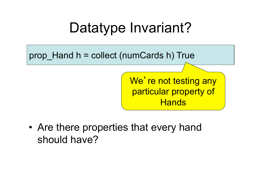#### Datatype Invariant?

prop Hand  $h =$  collect (numCards h) True

We're not testing any particular property of **Hands** 

• Are there properties that every hand should have?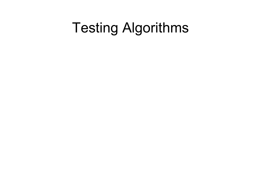### Testing Algorithms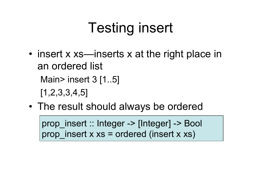## Testing insert

- insert x xs—inserts x at the right place in an ordered list Main> insert 3 [1..5] [1,2,3,3,4,5]
- The result should always be ordered

prop\_insert :: Integer -> [Integer] -> Bool prop insert  $x$   $xs$  = ordered (insert  $x$   $xs$ )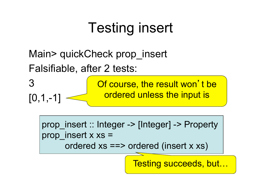## Testing insert

Main> quickCheck prop\_insert Falsifiable, after 2 tests:



prop\_insert :: Integer -> [Integer] -> Property prop insert  $x$   $xs =$ ordered xs ==> ordered (insert x xs)

Testing succeeds, but...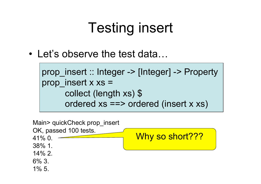## Testing insert

 $\cdot$  Let's observe the test data...

```
prop_insert :: Integer -> [Integer] -> Property 
prop insert x xs =collect (length xs) $ 
      ordered xs ==> ordered (insert x xs)
```
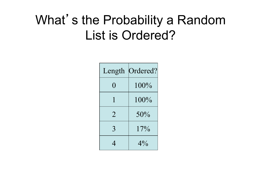#### What's the Probability a Random List is Ordered?

| Length         | Ordered? |
|----------------|----------|
| 0              | $100\%$  |
| 1              | $100\%$  |
| $\overline{2}$ | 50%      |
| 3              | 17%      |
|                | $4\%$    |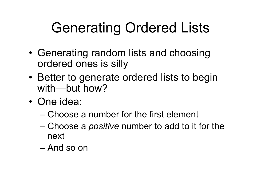## Generating Ordered Lists

- Generating random lists and choosing ordered ones is silly
- Better to generate ordered lists to begin with—but how?
- One idea:
	- Choose a number for the first element
	- Choose a *positive* number to add to it for the next
	- And so on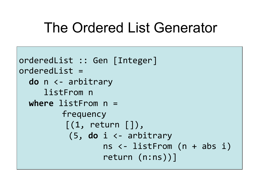#### The Ordered List Generator

```
orderedList :: Gen [Integer]
orderedList =do n \leftarrow arbitrary
     listFrom n
  where listFrom n =frequency
          [(1, return [\cdot]),(5, do i \leftarrow arbitraryns <- listFrom (n + abs i)
                   return (n:ns))]
```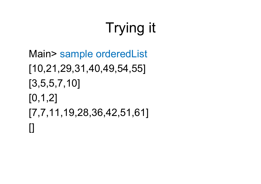# Trying it

```
Main> sample orderedList 
[10,21,29,31,40,49,54,55] 
[3,5,5,7,10] 
[0,1,2] 
[7,7,11,19,28,36,42,51,61] 
\blacksquare
```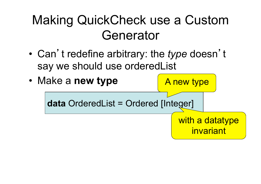#### Making QuickCheck use a Custom Generator

• Can't redefine arbitrary: the *type* doesn't say we should use orderedList

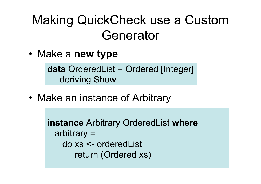#### Making QuickCheck use a Custom Generator

• Make a **new type** 

**data** OrderedList = Ordered [Integer] deriving Show

• Make an instance of Arbitrary

**instance** Arbitrary OrderedList **where**  arbitrary = do xs <- orderedList return (Ordered xs)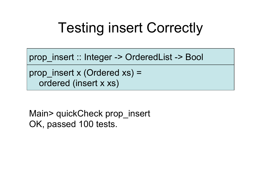### Testing insert Correctly

prop\_insert :: Integer -> OrderedList -> Bool

prop\_insert x (Ordered xs) = ordered (insert x xs)

Main> quickCheck prop\_insert OK, passed 100 tests.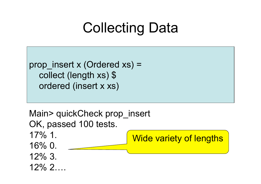### Collecting Data

prop insert x (Ordered  $xs$ ) = collect (length xs) \$ ordered (insert x xs)

Main> quickCheck prop\_insert OK, passed 100 tests. 17% 1. 16% 0. 12% 3.  $12\%$  2. Wide variety of lengths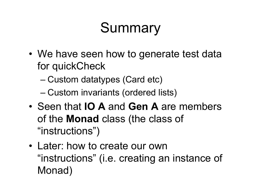## Summary

- We have seen how to generate test data for quickCheck
	- Custom datatypes (Card etc)
	- Custom invariants (ordered lists)
- Seen that **IO A** and **Gen A** are members of the **Monad** class (the class of "instructions")
- Later: how to create our own "instructions" (i.e. creating an instance of Monad)